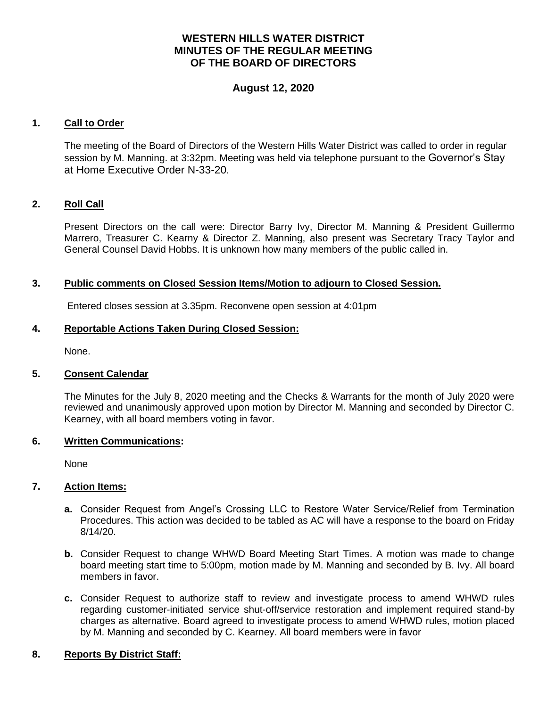# **WESTERN HILLS WATER DISTRICT MINUTES OF THE REGULAR MEETING OF THE BOARD OF DIRECTORS**

# **August 12, 2020**

## **1. Call to Order**

The meeting of the Board of Directors of the Western Hills Water District was called to order in regular session by M. Manning. at 3:32pm. Meeting was held via telephone pursuant to the Governor's Stay at Home Executive Order N-33-20.

### **2. Roll Call**

Present Directors on the call were: Director Barry Ivy, Director M. Manning & President Guillermo Marrero, Treasurer C. Kearny & Director Z. Manning, also present was Secretary Tracy Taylor and General Counsel David Hobbs. It is unknown how many members of the public called in.

### **3. Public comments on Closed Session Items/Motion to adjourn to Closed Session.**

Entered closes session at 3.35pm. Reconvene open session at 4:01pm

# **4. Reportable Actions Taken During Closed Session:**

None.

#### **5. Consent Calendar**

The Minutes for the July 8, 2020 meeting and the Checks & Warrants for the month of July 2020 were reviewed and unanimously approved upon motion by Director M. Manning and seconded by Director C. Kearney, with all board members voting in favor.

#### **6. Written Communications:**

None

#### **7. Action Items:**

- **a.** Consider Request from Angel's Crossing LLC to Restore Water Service/Relief from Termination Procedures. This action was decided to be tabled as AC will have a response to the board on Friday 8/14/20.
- **b.** Consider Request to change WHWD Board Meeting Start Times. A motion was made to change board meeting start time to 5:00pm, motion made by M. Manning and seconded by B. Ivy. All board members in favor.
- **c.** Consider Request to authorize staff to review and investigate process to amend WHWD rules regarding customer-initiated service shut-off/service restoration and implement required stand-by charges as alternative. Board agreed to investigate process to amend WHWD rules, motion placed by M. Manning and seconded by C. Kearney. All board members were in favor

# **8. Reports By District Staff:**